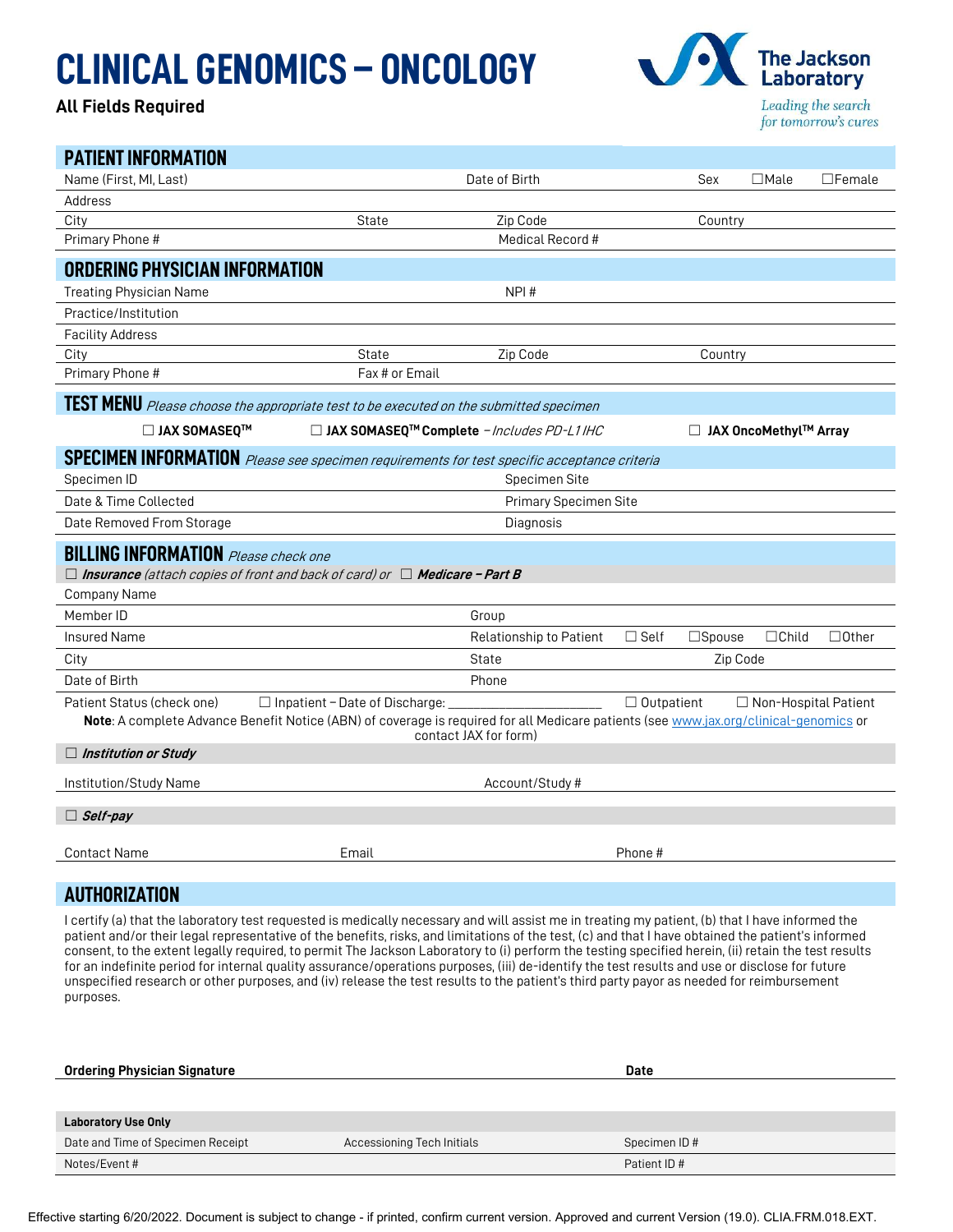## CLINICAL GENOMICS – ONCOLOGY

## All Fields Required



| <b>PATIENT INFORMATION</b>                                                                                                            |                                       |                                                          |                   |                  |                             |               |
|---------------------------------------------------------------------------------------------------------------------------------------|---------------------------------------|----------------------------------------------------------|-------------------|------------------|-----------------------------|---------------|
| Name (First, MI, Last)                                                                                                                |                                       | Date of Birth                                            |                   | Sex              | $\Box$ Male                 | $\Box$ Female |
| Address                                                                                                                               |                                       |                                                          |                   |                  |                             |               |
| City                                                                                                                                  | State                                 | Zip Code                                                 |                   | Country          |                             |               |
| Primary Phone #                                                                                                                       |                                       | Medical Record #                                         |                   |                  |                             |               |
| <b>ORDERING PHYSICIAN INFORMATION</b>                                                                                                 |                                       |                                                          |                   |                  |                             |               |
| <b>Treating Physician Name</b>                                                                                                        |                                       | NPI#                                                     |                   |                  |                             |               |
| Practice/Institution                                                                                                                  |                                       |                                                          |                   |                  |                             |               |
| <b>Facility Address</b>                                                                                                               |                                       |                                                          |                   |                  |                             |               |
| City                                                                                                                                  | State                                 | Zip Code                                                 |                   | Country          |                             |               |
| Primary Phone #                                                                                                                       | Fax # or Email                        |                                                          |                   |                  |                             |               |
| TEST MENU Please choose the appropriate test to be executed on the submitted specimen                                                 |                                       |                                                          |                   |                  |                             |               |
| □ JAX SOMASEQ™                                                                                                                        |                                       | □ JAX SOMASEQ <sup>™</sup> Complete - Includes PD-L1 IHC |                   |                  | □ JAX OncoMethyl™ Array     |               |
| <b>SPECIMEN INFORMATION</b> Please see specimen requirements for test specific acceptance criteria                                    |                                       |                                                          |                   |                  |                             |               |
| Specimen ID                                                                                                                           |                                       | Specimen Site                                            |                   |                  |                             |               |
| Date & Time Collected                                                                                                                 | Primary Specimen Site                 |                                                          |                   |                  |                             |               |
| Date Removed From Storage                                                                                                             | Diagnosis                             |                                                          |                   |                  |                             |               |
| <b>BILLING INFORMATION</b> Please check one                                                                                           |                                       |                                                          |                   |                  |                             |               |
| $\Box$ Insurance (attach copies of front and back of card) or $\Box$ Medicare - Part B                                                |                                       |                                                          |                   |                  |                             |               |
| Company Name                                                                                                                          |                                       |                                                          |                   |                  |                             |               |
| Member ID                                                                                                                             |                                       | Group                                                    |                   |                  |                             |               |
| <b>Insured Name</b>                                                                                                                   |                                       | Relationship to Patient                                  | $\Box$ Self       | $\square$ Spouse | $\Box$ Child                | $\Box$ Other  |
| City                                                                                                                                  |                                       | <b>State</b>                                             |                   | Zip Code         |                             |               |
| Date of Birth                                                                                                                         |                                       | Phone                                                    |                   |                  |                             |               |
| Patient Status (check one)                                                                                                            | $\Box$ Inpatient - Date of Discharge: |                                                          | $\Box$ Outpatient |                  | $\Box$ Non-Hospital Patient |               |
| Note: A complete Advance Benefit Notice (ABN) of coverage is required for all Medicare patients (see www.jax.org/clinical-genomics or |                                       | contact JAX for form)                                    |                   |                  |                             |               |
| $\Box$ Institution or Study                                                                                                           |                                       |                                                          |                   |                  |                             |               |
| Institution/Study Name                                                                                                                |                                       | Account/Study #                                          |                   |                  |                             |               |
| $\Box$ Self-pay                                                                                                                       |                                       |                                                          |                   |                  |                             |               |
| <b>Contact Name</b>                                                                                                                   | Email                                 |                                                          | Phone #           |                  |                             |               |
|                                                                                                                                       |                                       |                                                          |                   |                  |                             |               |
|                                                                                                                                       |                                       |                                                          |                   |                  |                             |               |

## AUTHORIZATION

I certify (a) that the laboratory test requested is medically necessary and will assist me in treating my patient, (b) that I have informed the patient and/or their legal representative of the benefits, risks, and limitations of the test, (c) and that I have obtained the patient's informed consent, to the extent legally required, to permit The Jackson Laboratory to (i) perform the testing specified herein, (ii) retain the test results for an indefinite period for internal quality assurance/operations purposes, (iii) de-identify the test results and use or disclose for future unspecified research or other purposes, and (iv) release the test results to the patient's third party payor as needed for reimbursement purposes.

| <b>Ordering Physician Signature</b> |                            | <b>Date</b>  |
|-------------------------------------|----------------------------|--------------|
|                                     |                            |              |
|                                     |                            |              |
| <b>Laboratory Use Only</b>          |                            |              |
| Date and Time of Specimen Receipt   | Accessioning Tech Initials | Specimen ID# |
| Notes/Event#                        |                            | Patient ID#  |

Effective starting 6/20/2022. Document is subject to change - if printed, confirm current version. Approved and current Version (19.0). CLIA.FRM.018.EXT.